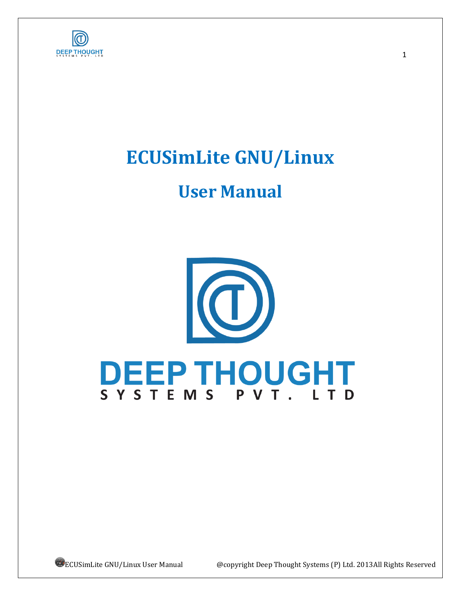

# **ECUSimLite GNU/Linux**

# **User Manual**



ECUSimLite GNU/Linux User Manual @copyright Deep Thought Systems (P) Ltd. 2013All Rights Reserved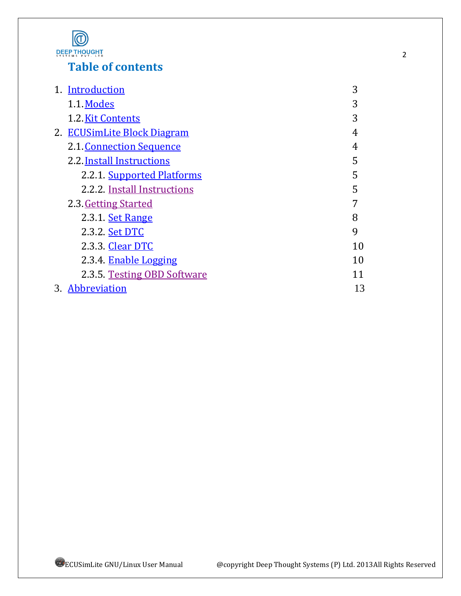

# **Table of contents**

| 1. Introduction             | 3  |
|-----------------------------|----|
| 1.1 Modes                   | 3  |
| 1.2. Kit Contents           | 3  |
| 2. ECUSimLite Block Diagram | 4  |
| 2.1. Connection Sequence    | 4  |
| 2.2. Install Instructions   | 5  |
| 2.2.1 Supported Platforms   | 5  |
| 2.2.2 Install Instructions  | 5  |
| 2.3. Getting Started        | 7  |
| 2.3.1. Set Range            | 8  |
| 2.3.2. Set DTC              | 9  |
| 2.3.3. Clear DTC            | 10 |
| 2.3.4. Enable Logging       | 10 |
| 2.3.5 Testing OBD Software  | 11 |
| 3. Abbreviation             | 13 |

2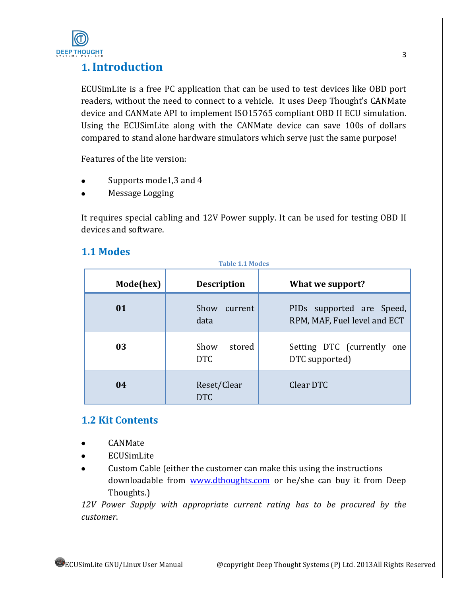

# <span id="page-2-0"></span>**1. Introduction**

ECUSimLite is a free PC application that can be used to test devices like OBD port readers, without the need to connect to a vehicle. It uses Deep Thought's CANMate device and CANMate API to implement ISO15765 compliant OBD II ECU simulation. Using the ECUSimLite along with the CANMate device can save 100s of dollars compared to stand alone hardware simulators which serve just the same purpose!

Features of the lite version:

- Supports mode1,3 and 4
- Message Logging

It requires special cabling and 12V Power supply. It can be used for testing OBD II devices and software.

## <span id="page-2-1"></span>**1.1 Modes**

| <b>Table 1.1 Modes</b> |                              |                                                           |  |  |
|------------------------|------------------------------|-----------------------------------------------------------|--|--|
| Mode(hex)              | <b>Description</b>           | What we support?                                          |  |  |
| 01                     | Show<br>current<br>data      | PIDs supported are Speed,<br>RPM, MAF, Fuel level and ECT |  |  |
| 03                     | Show<br>stored<br><b>DTC</b> | Setting DTC (currently<br>one<br>DTC supported)           |  |  |
| 04                     | Reset/Clear<br><b>DTC</b>    | Clear DTC                                                 |  |  |

#### <span id="page-2-2"></span>**1.2 Kit Contents**

- CANMate
- ECUSimLite
- Custom Cable (either the customer can make this using the instructions  $\bullet$ downloadable from [www.dthoughts.com](http://www.dthoughts.com/) or he/she can buy it from Deep Thoughts.)

*12V Power Supply with appropriate current rating has to be procured by the customer*.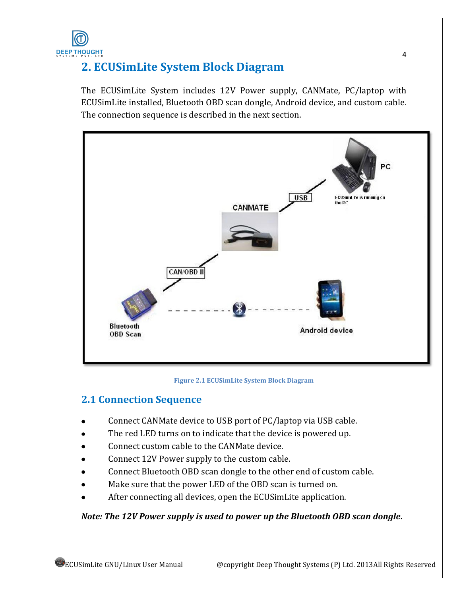

# <span id="page-3-0"></span>**2. ECUSimLite System Block Diagram**

The ECUSimLite System includes 12V Power supply, CANMate, PC/laptop with ECUSimLite installed, Bluetooth OBD scan dongle, Android device, and custom cable. The connection sequence is described in the next section.



#### **Figure 2.1 ECUSimLite System Block Diagram**

## <span id="page-3-1"></span>**2.1 Connection Sequence**

- Connect CANMate device to USB port of PC/laptop via USB cable.
- The red LED turns on to indicate that the device is powered up.
- Connect custom cable to the CANMate device.
- Connect 12V Power supply to the custom cable.
- Connect Bluetooth OBD scan dongle to the other end of custom cable.
- Make sure that the power LED of the OBD scan is turned on.
- After connecting all devices, open the ECUSimLite application.

#### *Note: The 12V Power supply is used to power up the Bluetooth OBD scan dongle***.**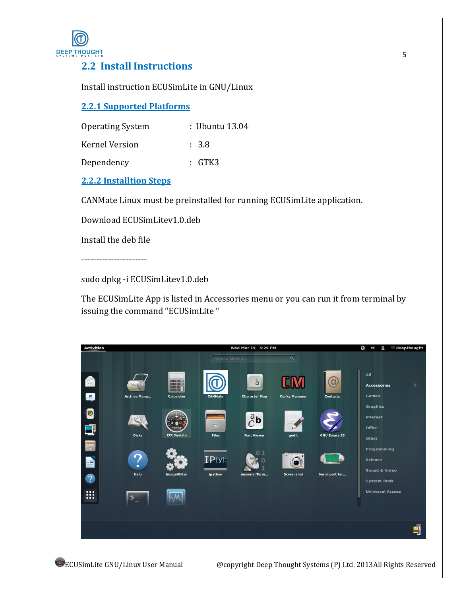

## <span id="page-4-0"></span>**2.2 Install Instructions**

Install instruction ECUSimLite in GNU/Linux

#### <span id="page-4-1"></span>**2.2.1 Supported Platforms**

| <b>Operating System</b> | : Ubuntu 13.04   |
|-------------------------|------------------|
| Kernel Version          | $\therefore$ 3.8 |
| Dependency              | : GTK3           |

#### <span id="page-4-2"></span>**2.2.2 Installtion Steps**

CANMate Linux must be preinstalled for running ECUSimLite application.

Download ECUSimLitev1.0.deb

Install the deb file

----------------------

sudo dpkg -i ECUSimLitev1.0.deb

The ECUSimLite App is listed in Accessories menu or you can run it from terminal by issuing the command "ECUSimLite "



ECUSimLite GNU/Linux User Manual @copyright Deep Thought Systems (P) Ltd. 2013All Rights Reserved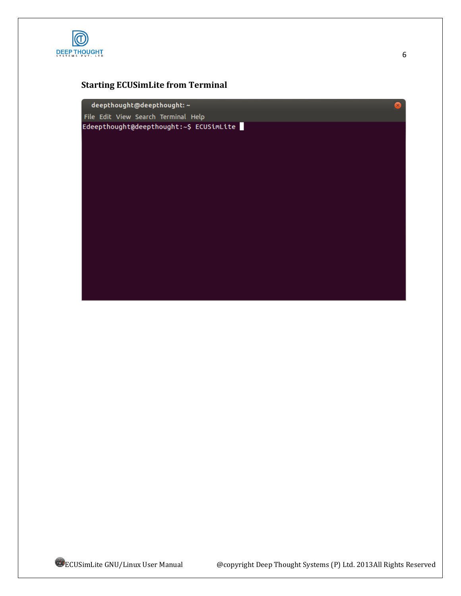

## **Starting ECUSimLite from Terminal**

deepthought@deepthought:~ File Edit View Search Terminal Help Edeepthought@deepthought:~\$ ECUSimLite

6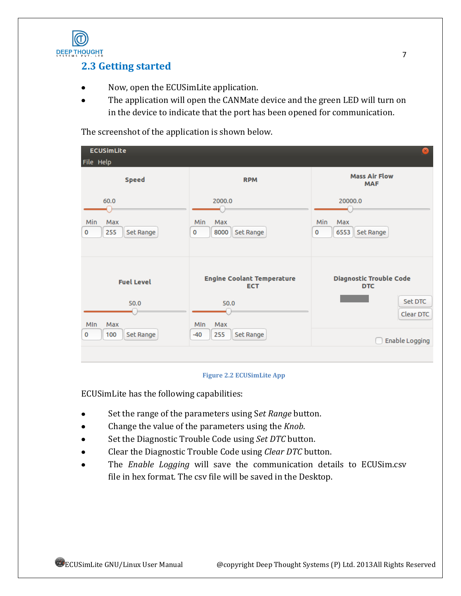

## <span id="page-6-0"></span>**2.3 Getting started**

- Now, open the ECUSimLite application.  $\bullet$
- The application will open the CANMate device and the green LED will turn on  $\bullet$ in the device to indicate that the port has been opened for communication.

The screenshot of the application is shown below.

|                                                                                                    | $\mathbf{x}$                                                                           |
|----------------------------------------------------------------------------------------------------|----------------------------------------------------------------------------------------|
| <b>RPM</b>                                                                                         | <b>Mass Air Flow</b><br><b>MAF</b>                                                     |
| 2000.0<br>Min<br><b>Max</b><br>8000<br>Set Range<br>0                                              | 20000.0<br>Min<br>Max<br>Set Range<br>6553<br>0                                        |
| <b>Engine Coolant Temperature</b><br><b>ECT</b><br>50.0<br>Max<br>MIn<br>255<br>Set Range<br>$-40$ | <b>Diagnostic Trouble Code</b><br><b>DTC</b><br>Set DTC<br>Clear DTC<br>Enable Logging |
|                                                                                                    |                                                                                        |

#### **Figure 2.2 ECUSimLite App**

ECUSimLite has the following capabilities:

- Set the range of the parameters using S*et Range* button.  $\bullet$
- Change the value of the parameters using the *Knob*.  $\bullet$
- Set the Diagnostic Trouble Code using *Set DTC* button.
- Clear the Diagnostic Trouble Code using *Clear DTC* button.
- The *Enable Logging* will save the communication details to ECUSim.csv file in hex format. The csv file will be saved in the Desktop.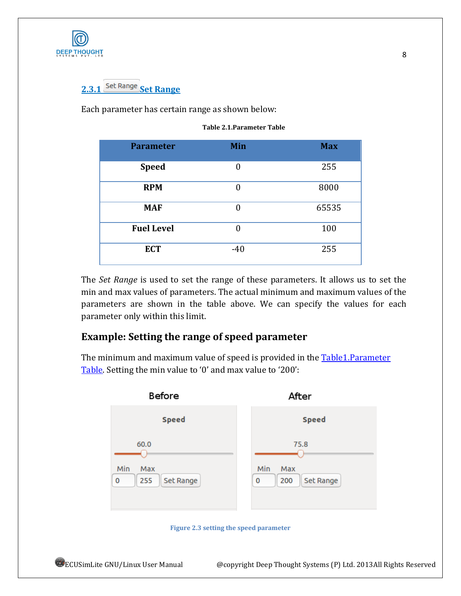<span id="page-7-0"></span>

# 2.3.1 Set Range Set Range

<span id="page-7-1"></span>Each parameter has certain range as shown below:

| <b>Parameter</b>  | Min      | <b>Max</b> |
|-------------------|----------|------------|
| <b>Speed</b>      | $\theta$ | 255        |
| <b>RPM</b>        | $\theta$ | 8000       |
| <b>MAF</b>        | $\theta$ | 65535      |
| <b>Fuel Level</b> | $\theta$ | 100        |
| <b>ECT</b>        | $-40$    | 255        |

The *Set Range* is used to set the range of these parameters. It allows us to set the min and max values of parameters. The actual minimum and maximum values of the parameters are shown in the table above. We can specify the values for each parameter only within this limit.

## **Example: Setting the range of speed parameter**

The minimum and maximum value of speed is provided in the **Table1.Parameter** [Table.](#page-7-1) Setting the min value to '0' and max value to '200':



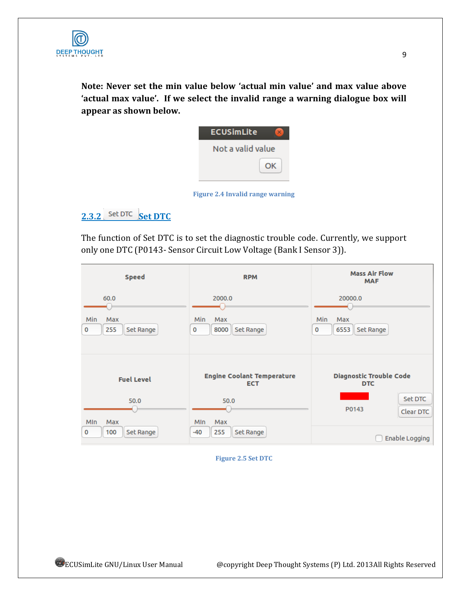

**Note: Never set the min value below 'actual min value' and max value above 'actual max value'. If we select the invalid range a warning dialogue box will appear as shown below.**

| <b>ECUSimLite</b> |
|-------------------|
| Not a valid value |
| ΩK                |
|                   |

**Figure 2.4 Invalid range warning**

## <span id="page-8-0"></span>**2.3.2** Set DTC **Set DTC**

The function of Set DTC is to set the diagnostic trouble code. Currently, we support only one DTC (P0143- Sensor Circuit Low Voltage (Bank I Sensor 3)).

| <b>Speed</b>                                | <b>RPM</b>                                              | <b>Mass Air Flow</b><br><b>MAF</b>                                                   |
|---------------------------------------------|---------------------------------------------------------|--------------------------------------------------------------------------------------|
| 60.0<br>Min<br>Max<br>255<br>Set Range<br>0 | 2000.0<br>Min<br>Max<br>8000<br>Set Range<br>0          | 20000.0<br>Min<br>Max<br>6553<br>Set Range<br>0                                      |
| <b>Fuel Level</b><br>50.0                   | <b>Engine Coolant Temperature</b><br><b>ECT</b><br>50.0 | <b>Diagnostic Trouble Code</b><br><b>DTC</b><br><b>Set DTC</b><br>P0143<br>Clear DTC |
| MIn<br>Max<br>100<br>Set Range<br>0         | Max<br><b>MIn</b><br>255<br>Set Range<br>$-40$          | Enable Logging                                                                       |

<span id="page-8-1"></span>**Figure 2.5 Set DTC**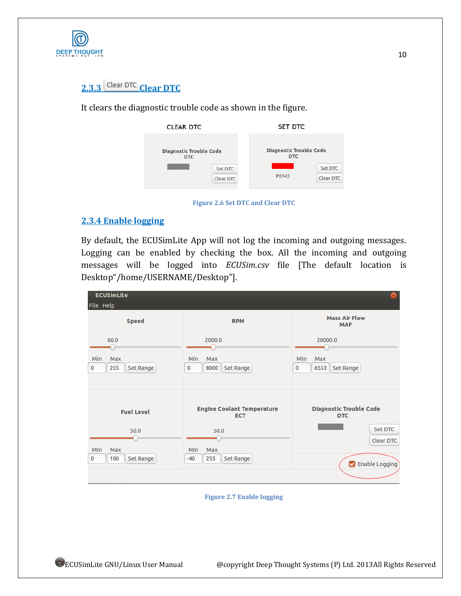

# 2.3.3 Clear DTC Clear DTC

It clears the diagnostic trouble code as shown in the figure.



**Figure 2.6 Set DTC and Clear DTC**

#### <span id="page-9-0"></span>**2.3.4 Enable logging**

By default, the ECUSimLite App will not log the incoming and outgoing messages. Logging can be enabled by checking the box. All the incoming and outgoing messages will be logged into *ECUSim.csv* file [The default location is Desktop"/home/USERNAME/Desktop"].

| <b>ECUSimLite</b><br>File Help              |                                                                              | $\mathbf{x}$                                                                |
|---------------------------------------------|------------------------------------------------------------------------------|-----------------------------------------------------------------------------|
| <b>Speed</b>                                | <b>RPM</b>                                                                   | <b>Mass Air Flow</b><br><b>MAF</b>                                          |
| 60.0<br>Min<br>Max<br>Set Range<br>0<br>255 | 2000.0<br>Min<br>Max<br>8000<br>Set Range<br>$\mathbf 0$                     | 20000.0<br>Min<br>Max<br>6553<br>Set Range<br>0                             |
| <b>Fuel Level</b><br>50.0<br>MIn<br>Max     | <b>Engine Coolant Temperature</b><br><b>ECT</b><br>50.0<br><b>MIn</b><br>Max | <b>Diagnostic Trouble Code</b><br><b>DTC</b><br><b>Set DTC</b><br>Clear DTC |
| Set Range<br>0<br>100                       | 255<br>Set Range<br>$-40$                                                    | Enable Logging                                                              |

**Figure 2.7 Enable logging**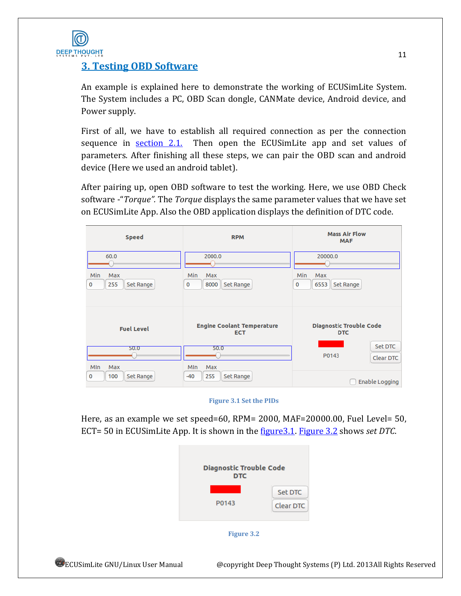

## <span id="page-10-0"></span>**3. Testing OBD Software**

An example is explained here to demonstrate the working of ECUSimLite System. The System includes a PC, OBD Scan dongle, CANMate device, Android device, and Power supply.

First of all, we have to establish all required connection as per the connection sequence in [section 2.1.](#page-3-1) Then open the ECUS imits app and set values of parameters. After finishing all these steps, we can pair the OBD scan and android device (Here we used an android tablet).

After pairing up, open OBD software to test the working. Here, we use OBD Check software -"*Torque".* The *Torque* displays the same parameter values that we have set on ECUSimLite App. Also the OBD application displays the definition of DTC code.

<span id="page-10-1"></span>

| <b>Speed</b>                        | <b>RPM</b>                                      | <b>Mass Air Flow</b><br><b>MAF</b>           |  |
|-------------------------------------|-------------------------------------------------|----------------------------------------------|--|
| 60.0                                | 2000.0                                          | 20000.0                                      |  |
| Min<br>Max<br>255<br>Set Range<br>0 | Min<br>Max<br>8000<br>Set Range<br>0            | Min<br>Max<br>6553<br>Set Range<br>0         |  |
| <b>Fuel Level</b>                   | <b>Engine Coolant Temperature</b><br><b>ECT</b> | <b>Diagnostic Trouble Code</b><br><b>DTC</b> |  |
| 50.0<br><b>MIn</b><br>Max           | 50.0<br>MIn<br>Max                              | <b>Set DTC</b><br>P0143<br>Clear DTC         |  |
| 100<br>Set Range<br>$\mathbf 0$     | 255<br>Set Range<br>$-40$                       | Enable Logging                               |  |

#### **Figure 3.1 Set the PIDs**

<span id="page-10-2"></span>Here, as an example we set speed=60, RPM= 2000, MAF=20000.00, Fuel Level= 50, ECT= 50 in ECUSimLite App. It is shown in the [figure3.1.](#page-10-1) [Figure 3.2](#page-10-2) shows *set DTC*.

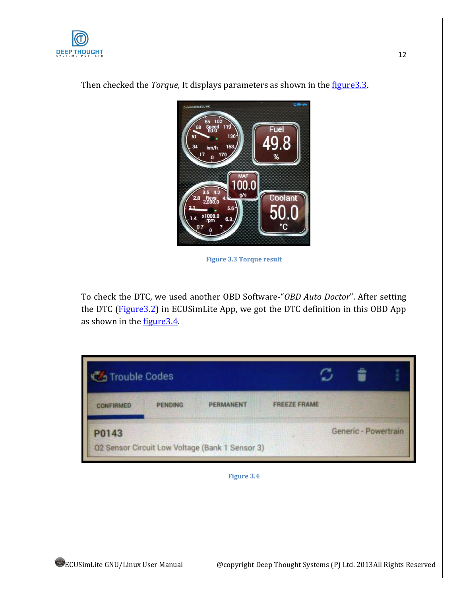



<span id="page-11-1"></span>Then checked the *Torque*, It displays parameters as shown in the *figure*3.3.

**Figure 3.3 Torque result**

To check the DTC, we used another OBD Software-"*OBD Auto Doctor*". After setting the DTC (Figure 3.2) in ECUSimLite App, we got the DTC definition in this OBD App as shown in the figure 3.4.

<span id="page-11-2"></span><span id="page-11-0"></span>

| <b>Codes</b> Trouble Codes |                |                                                 |                     |                      |  |
|----------------------------|----------------|-------------------------------------------------|---------------------|----------------------|--|
| <b>CONFIRMED</b>           | <b>PENDING</b> | <b>PERMANENT</b>                                | <b>FREEZE FRAME</b> |                      |  |
| P0143                      |                |                                                 |                     | Generic - Powertrain |  |
|                            |                | 02 Sensor Circuit Low Voltage (Bank 1 Sensor 3) |                     |                      |  |

**Figure 3.4**